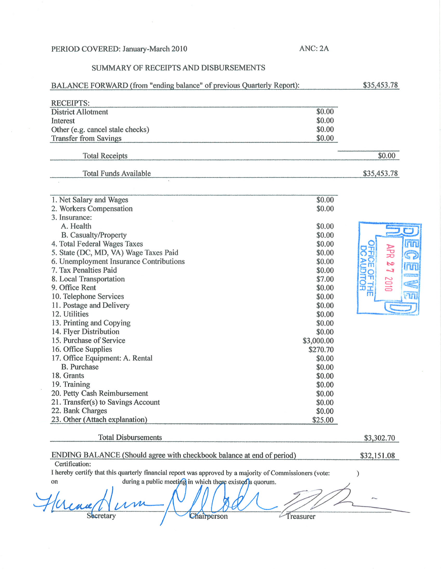## PERIOD COVERED: January-March 2010

ANC: 2A

## SUMMARY OF RECEIPTS AND DISBURSEMENTS

| <b>RECEIPTS:</b>                                                                                                                                                                             |                   |                                               |
|----------------------------------------------------------------------------------------------------------------------------------------------------------------------------------------------|-------------------|-----------------------------------------------|
| <b>District Allotment</b>                                                                                                                                                                    | \$0.00            |                                               |
| Interest                                                                                                                                                                                     | \$0.00            |                                               |
| Other (e.g. cancel stale checks)                                                                                                                                                             | \$0.00            |                                               |
| <b>Transfer from Savings</b>                                                                                                                                                                 | \$0.00            |                                               |
| <b>Total Receipts</b>                                                                                                                                                                        |                   | \$0.00                                        |
| <b>Total Funds Available</b>                                                                                                                                                                 |                   | \$35,453.78                                   |
|                                                                                                                                                                                              |                   |                                               |
| 1. Net Salary and Wages                                                                                                                                                                      | \$0.00            |                                               |
| 2. Workers Compensation                                                                                                                                                                      | \$0.00            |                                               |
| 3. Insurance:                                                                                                                                                                                |                   |                                               |
| A. Health                                                                                                                                                                                    | \$0.00            |                                               |
| <b>B.</b> Casualty/Property                                                                                                                                                                  | \$0.00            |                                               |
| 4. Total Federal Wages Taxes                                                                                                                                                                 | \$0.00            | linu<br>APR<br>귀                              |
| 5. State (DC, MD, VA) Wage Taxes Paid<br>6. Unemployment Insurance Contributions                                                                                                             | \$0.00<br>\$0.00  | 5                                             |
| 7. Tax Penalties Paid                                                                                                                                                                        | \$0.00            | S<br><b>Irun</b><br>J                         |
| 8. Local Transportation                                                                                                                                                                      | \$7.00            | $\circ$<br>$\overline{d}$<br>$\bar{\bm{\pi}}$ |
| 9. Office Rent                                                                                                                                                                               | \$0.00            | 0102<br>엹                                     |
| 10. Telephone Services                                                                                                                                                                       | \$0.00            | rm                                            |
| 11. Postage and Delivery                                                                                                                                                                     | \$0.00            |                                               |
| 12. Utilities                                                                                                                                                                                | \$0.00            |                                               |
| 13. Printing and Copying                                                                                                                                                                     | \$0.00            |                                               |
| 14. Flyer Distribution                                                                                                                                                                       | \$0.00            |                                               |
| 15. Purchase of Service                                                                                                                                                                      | \$3,000.00        |                                               |
| 16. Office Supplies                                                                                                                                                                          | \$270.70          |                                               |
| 17. Office Equipment: A. Rental                                                                                                                                                              | \$0.00            |                                               |
| <b>B.</b> Purchase                                                                                                                                                                           | \$0.00            |                                               |
| 18. Grants                                                                                                                                                                                   | \$0.00            |                                               |
| 19. Training                                                                                                                                                                                 | \$0.00            |                                               |
| 20. Petty Cash Reimbursement                                                                                                                                                                 | \$0.00            |                                               |
| 21. Transfer(s) to Savings Account                                                                                                                                                           | \$0.00            |                                               |
| 22. Bank Charges<br>23. Other (Attach explanation)                                                                                                                                           | \$0.00<br>\$25.00 |                                               |
|                                                                                                                                                                                              |                   |                                               |
| <b>Total Disbursements</b>                                                                                                                                                                   |                   | \$3,302.70                                    |
| ENDING BALANCE (Should agree with checkbook balance at end of period)                                                                                                                        |                   | \$32,151.08                                   |
| Certification:<br>I hereby certify that this quarterly financial report was approved by a majority of Commissioners (vote:<br>during a public meeting in which there existed a quorum.<br>on |                   |                                               |

Herenne Num  $\frac{1}{\sqrt{1}}$ Chairperson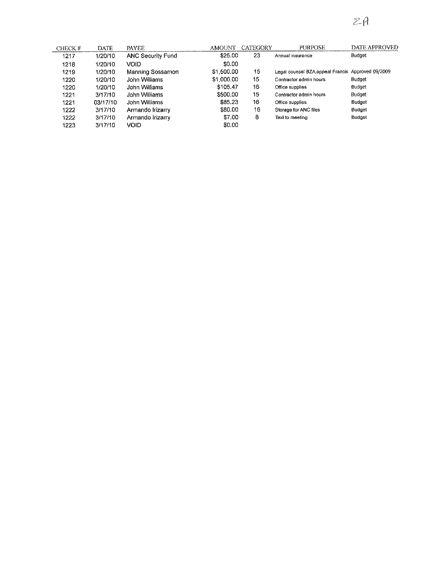## $2A$

| CHECK # | DATE     | <b>PAYEE</b>             | <b>AMOUNT</b> | <b>CATEGORY</b> | <b>PURPOSE</b>                                    | DATE APPROVED |
|---------|----------|--------------------------|---------------|-----------------|---------------------------------------------------|---------------|
| 1217    | 1/20/10  | <b>ANC Security Fund</b> | \$25.00       | 23              | Annual insurance                                  | Budget        |
| 1218    | 1/20/10  | <b>VOID</b>              | \$0.00        |                 |                                                   |               |
| 1219    | 1/20/10  | Manning Sossamon         | \$1,500.00    | 15              | Legal counsel BZA appeal Francis Approved 09/2009 |               |
| 1220    | 1/20/10  | John Williams            | \$1,000.00    | 15              | Contractor admin hours                            | Budget        |
| 1220    | 1/20/10  | John Williams            | \$105.47      | 16              | Office supplies                                   | Budaet        |
| 1221    | 3/17/10  | John Williams            | \$500.00      | 15              | Contractor admin hours                            | Budaet        |
| 1221    | 03/17/10 | John Williams            | \$85.23       | 16              | Office supplies                                   | Budget        |
| 1222    | 3/17/10  | Armando Irizarry         | \$80.00       | 16              | Storage for ANC files                             | Budget        |
| 1222    | 3/17/10  | Armando Irizarry         | \$7.00        | 8               | Taxi to meeting                                   | Budget        |
| 1223    | 3/17/10  | <b>VOID</b>              | \$0.00        |                 |                                                   |               |